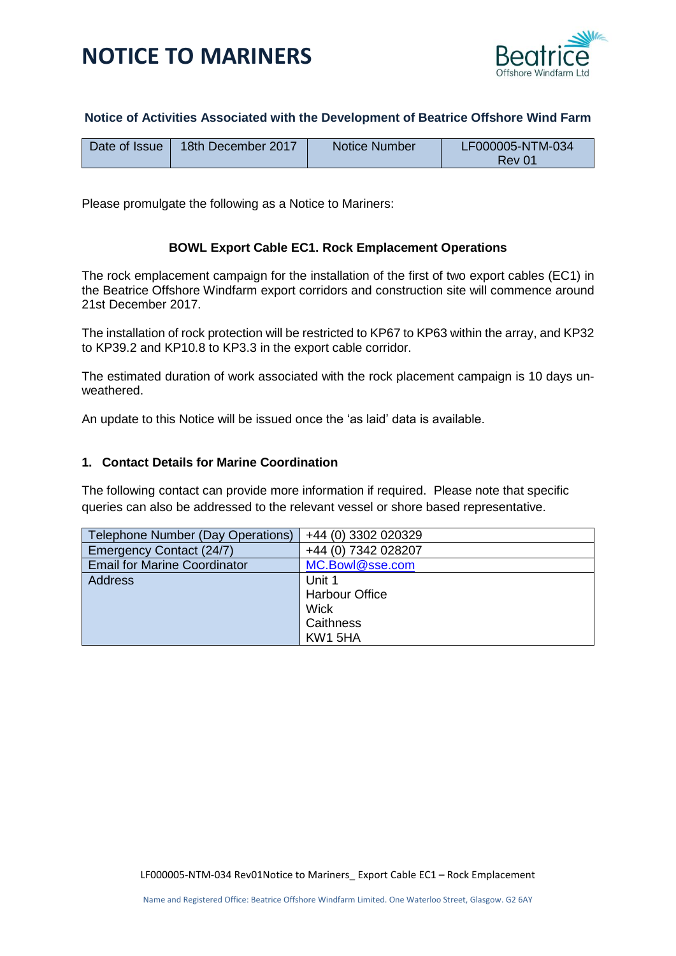

### **Notice of Activities Associated with the Development of Beatrice Offshore Wind Farm**

| Date of Issue | 18th December 2017 | Notice Number | LF000005-NTM-034 |
|---------------|--------------------|---------------|------------------|
|               |                    |               | Rev 01           |

Please promulgate the following as a Notice to Mariners:

### **BOWL Export Cable EC1. Rock Emplacement Operations**

The rock emplacement campaign for the installation of the first of two export cables (EC1) in the Beatrice Offshore Windfarm export corridors and construction site will commence around 21st December 2017.

The installation of rock protection will be restricted to KP67 to KP63 within the array, and KP32 to KP39.2 and KP10.8 to KP3.3 in the export cable corridor.

The estimated duration of work associated with the rock placement campaign is 10 days unweathered.

An update to this Notice will be issued once the 'as laid' data is available.

#### **1. Contact Details for Marine Coordination**

The following contact can provide more information if required. Please note that specific queries can also be addressed to the relevant vessel or shore based representative.

| Telephone Number (Day Operations)   | +44 (0) 3302 020329   |
|-------------------------------------|-----------------------|
| Emergency Contact (24/7)            | +44 (0) 7342 028207   |
| <b>Email for Marine Coordinator</b> | MC.Bowl@sse.com       |
| <b>Address</b>                      | Unit 1                |
|                                     | <b>Harbour Office</b> |
|                                     | <b>Wick</b>           |
|                                     | Caithness             |
|                                     | KW1 5HA               |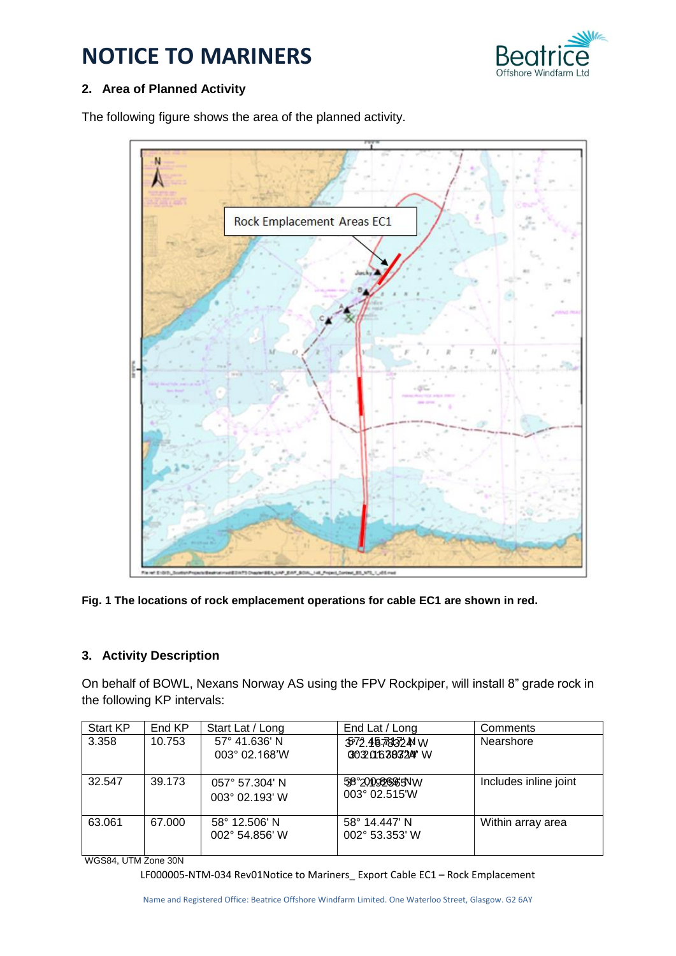

### **2. Area of Planned Activity**

The following figure shows the area of the planned activity.



**Fig. 1 The locations of rock emplacement operations for cable EC1 are shown in red.**

### **3. Activity Description**

On behalf of BOWL, Nexans Norway AS using the FPV Rockpiper, will install 8" grade rock in the following KP intervals:

| Start KP | End KP | Start Lat / Long                                   | End Lat / Long                           | Comments              |
|----------|--------|----------------------------------------------------|------------------------------------------|-----------------------|
| 3.358    | 10.753 | 57° 41.636' N<br>$003^{\circ}$ 02.168'W            | 3572.4578324 W<br>0032016383247 W        | Nearshore             |
| 32.547   | 39.173 | $057^{\circ}$ 57.304' N<br>$003^{\circ}$ 02.193' W | 58°200986685NW<br>$003^{\circ}$ 02.515 W | Includes inline joint |
| 63.061   | 67.000 | 58° 12.506' N<br>$002^{\circ}$ 54.856' W           | 58° 14.447' N<br>002° 53.353' W          | Within array area     |

WGS84, UTM Zone 30N

LF000005-NTM-034 Rev01Notice to Mariners\_ Export Cable EC1 – Rock Emplacement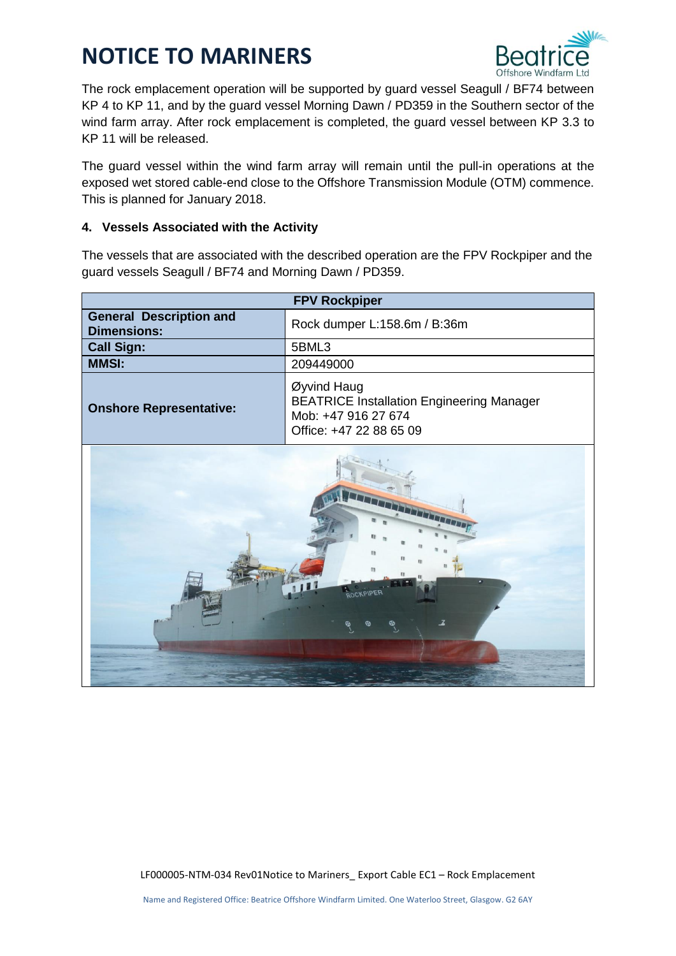

The rock emplacement operation will be supported by guard vessel Seagull / BF74 between KP 4 to KP 11, and by the guard vessel Morning Dawn / PD359 in the Southern sector of the wind farm array. After rock emplacement is completed, the guard vessel between KP 3.3 to KP 11 will be released.

The guard vessel within the wind farm array will remain until the pull-in operations at the exposed wet stored cable-end close to the Offshore Transmission Module (OTM) commence. This is planned for January 2018.

### **4. Vessels Associated with the Activity**

The vessels that are associated with the described operation are the FPV Rockpiper and the guard vessels Seagull / BF74 and Morning Dawn / PD359.

| <b>FPV Rockpiper</b>                                 |                                                                                                                   |  |  |
|------------------------------------------------------|-------------------------------------------------------------------------------------------------------------------|--|--|
| <b>General Description and</b><br><b>Dimensions:</b> | Rock dumper L:158.6m / B:36m                                                                                      |  |  |
| <b>Call Sign:</b>                                    | 5BML3                                                                                                             |  |  |
| <b>MMSI:</b>                                         | 209449000                                                                                                         |  |  |
| <b>Onshore Representative:</b>                       | Øyvind Haug<br><b>BEATRICE Installation Engineering Manager</b><br>Mob: +47 916 27 674<br>Office: +47 22 88 65 09 |  |  |
|                                                      |                                                                                                                   |  |  |

**Report Follows** 

LF000005-NTM-034 Rev01Notice to Mariners\_ Export Cable EC1 – Rock Emplacement

 $\mathbf{r}^{\prime} = \mathbf{r}^{\prime} \mathbf{r}^{\prime}$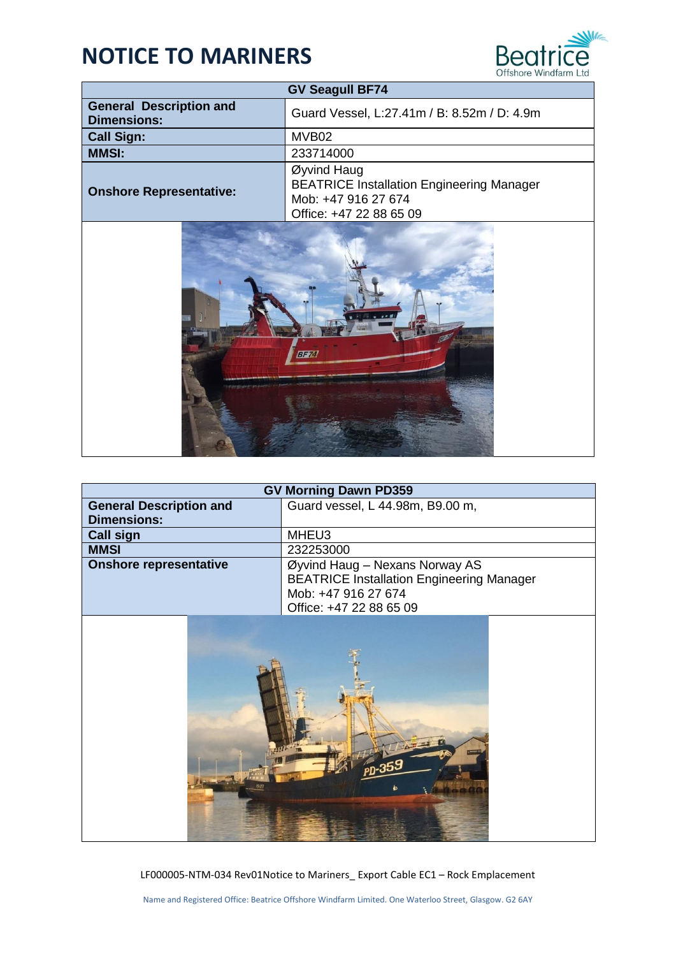

| <b>GV Seagull BF74</b>                               |                                                                                                                   |  |
|------------------------------------------------------|-------------------------------------------------------------------------------------------------------------------|--|
| <b>General Description and</b><br><b>Dimensions:</b> | Guard Vessel, L:27.41m / B: 8.52m / D: 4.9m                                                                       |  |
| <b>Call Sign:</b>                                    | MVB <sub>02</sub>                                                                                                 |  |
| <b>MMSI:</b>                                         | 233714000                                                                                                         |  |
| <b>Onshore Representative:</b>                       | Øyvind Haug<br><b>BEATRICE Installation Engineering Manager</b><br>Mob: +47 916 27 674<br>Office: +47 22 88 65 09 |  |



| <b>GV Morning Dawn PD359</b>                         |                                                                                                                                      |  |
|------------------------------------------------------|--------------------------------------------------------------------------------------------------------------------------------------|--|
| <b>General Description and</b><br><b>Dimensions:</b> | Guard vessel, L 44.98m, B9.00 m,                                                                                                     |  |
| <b>Call sign</b>                                     | MHEU3                                                                                                                                |  |
| <b>MMSI</b>                                          | 232253000                                                                                                                            |  |
| <b>Onshore representative</b>                        | Øyvind Haug - Nexans Norway AS<br><b>BEATRICE Installation Engineering Manager</b><br>Mob: +47 916 27 674<br>Office: +47 22 88 65 09 |  |
|                                                      |                                                                                                                                      |  |

LF000005-NTM-034 Rev01Notice to Mariners\_ Export Cable EC1 – Rock Emplacement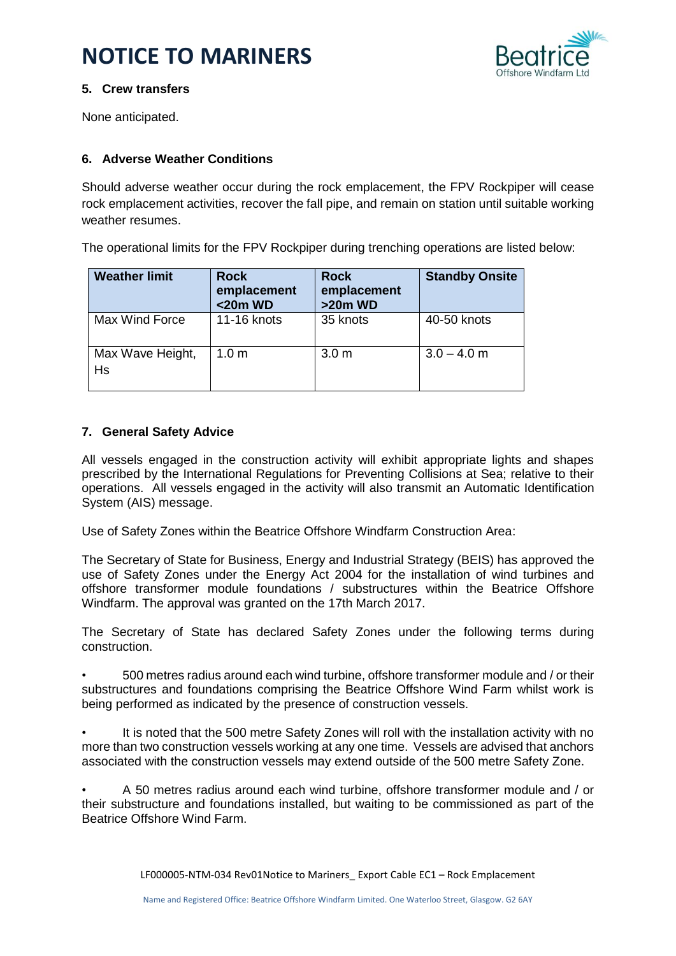

### **5. Crew transfers**

None anticipated.

### **6. Adverse Weather Conditions**

Should adverse weather occur during the rock emplacement, the FPV Rockpiper will cease rock emplacement activities, recover the fall pipe, and remain on station until suitable working weather resumes.

The operational limits for the FPV Rockpiper during trenching operations are listed below:

| <b>Weather limit</b>   | <b>Rock</b><br>emplacement<br>$<$ 20 $m$ WD | <b>Rock</b><br>emplacement<br>$>20m$ WD | <b>Standby Onsite</b> |
|------------------------|---------------------------------------------|-----------------------------------------|-----------------------|
| Max Wind Force         | 11-16 knots                                 | 35 knots                                | 40-50 knots           |
| Max Wave Height,<br>Hs | 1.0 <sub>m</sub>                            | 3.0 <sub>m</sub>                        | $3.0 - 4.0$ m         |

### **7. General Safety Advice**

All vessels engaged in the construction activity will exhibit appropriate lights and shapes prescribed by the International Regulations for Preventing Collisions at Sea; relative to their operations. All vessels engaged in the activity will also transmit an Automatic Identification System (AIS) message.

Use of Safety Zones within the Beatrice Offshore Windfarm Construction Area:

The Secretary of State for Business, Energy and Industrial Strategy (BEIS) has approved the use of Safety Zones under the Energy Act 2004 for the installation of wind turbines and offshore transformer module foundations / substructures within the Beatrice Offshore Windfarm. The approval was granted on the 17th March 2017.

The Secretary of State has declared Safety Zones under the following terms during construction.

• 500 metres radius around each wind turbine, offshore transformer module and / or their substructures and foundations comprising the Beatrice Offshore Wind Farm whilst work is being performed as indicated by the presence of construction vessels.

• It is noted that the 500 metre Safety Zones will roll with the installation activity with no more than two construction vessels working at any one time. Vessels are advised that anchors associated with the construction vessels may extend outside of the 500 metre Safety Zone.

• A 50 metres radius around each wind turbine, offshore transformer module and / or their substructure and foundations installed, but waiting to be commissioned as part of the Beatrice Offshore Wind Farm.